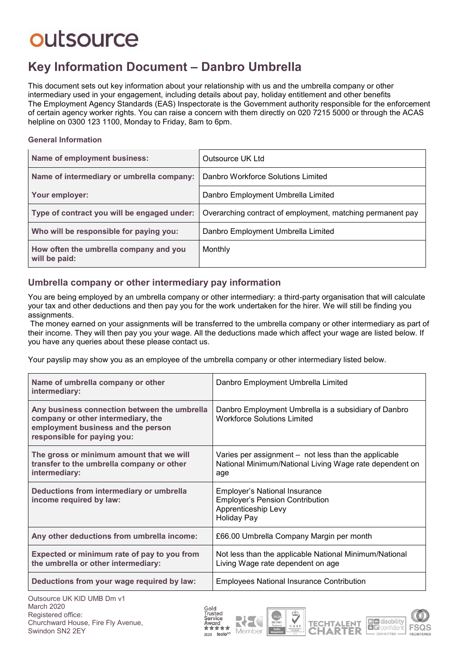### **Key Information Document ‒ Danbro Umbrella**

This document sets out key information about your relationship with us and the umbrella company or other intermediary used in your engagement, including details about pay, holiday entitlement and other benefits The Employment Agency Standards (EAS) Inspectorate is the Government authority responsible for the enforcement of certain agency worker rights. You can raise a concern with them directly on 020 7215 5000 or through the ACAS helpline on 0300 123 1100, Monday to Friday, 8am to 6pm.

#### **General Information**

| Name of employment business:                            | Outsource UK Ltd                                           |  |
|---------------------------------------------------------|------------------------------------------------------------|--|
| Name of intermediary or umbrella company:               | Danbro Workforce Solutions Limited                         |  |
| Your employer:                                          | Danbro Employment Umbrella Limited                         |  |
| Type of contract you will be engaged under:             | Overarching contract of employment, matching permanent pay |  |
| Who will be responsible for paying you:                 | Danbro Employment Umbrella Limited                         |  |
| How often the umbrella company and you<br>will be paid: | Monthly                                                    |  |

#### **Umbrella company or other intermediary pay information**

You are being employed by an umbrella company or other intermediary: a third-party organisation that will calculate your tax and other deductions and then pay you for the work undertaken for the hirer. We will still be finding you assignments.

The money earned on your assignments will be transferred to the umbrella company or other intermediary as part of their income. They will then pay you your wage. All the deductions made which affect your wage are listed below. If you have any queries about these please contact us.

Your payslip may show you as an employee of the umbrella company or other intermediary listed below.

| Name of umbrella company or other<br>intermediary:                                                                                                                           | Danbro Employment Umbrella Limited                                                                                          |  |
|------------------------------------------------------------------------------------------------------------------------------------------------------------------------------|-----------------------------------------------------------------------------------------------------------------------------|--|
| Any business connection between the umbrella<br>company or other intermediary, the<br>employment business and the person<br>responsible for paying you:                      | Danbro Employment Umbrella is a subsidiary of Danbro<br><b>Workforce Solutions Limited</b>                                  |  |
| The gross or minimum amount that we will<br>transfer to the umbrella company or other<br>intermediary:                                                                       | Varies per assignment – not less than the applicable<br>National Minimum/National Living Wage rate dependent on<br>age      |  |
| Deductions from intermediary or umbrella<br>income required by law:                                                                                                          | <b>Employer's National Insurance</b><br><b>Employer's Pension Contribution</b><br>Apprenticeship Levy<br><b>Holiday Pay</b> |  |
| Any other deductions from umbrella income:                                                                                                                                   | £66.00 Umbrella Company Margin per month                                                                                    |  |
| Expected or minimum rate of pay to you from<br>the umbrella or other intermediary:                                                                                           | Not less than the applicable National Minimum/National<br>Living Wage rate dependent on age                                 |  |
| Deductions from your wage required by law:                                                                                                                                   | <b>Employees National Insurance Contribution</b>                                                                            |  |
| $Q_{i}, \mathbf{t}_{i-1}, \mathbf{t}_{i-1}$   $\mathbf{I} \mathbf{I} \mathbf{I} \mathbf{I} \mathbf{I}$   $\mathbf{I} \mathbf{I} \mathbf{I} \mathbf{I} \mathbf{I} \mathbf{I}$ |                                                                                                                             |  |







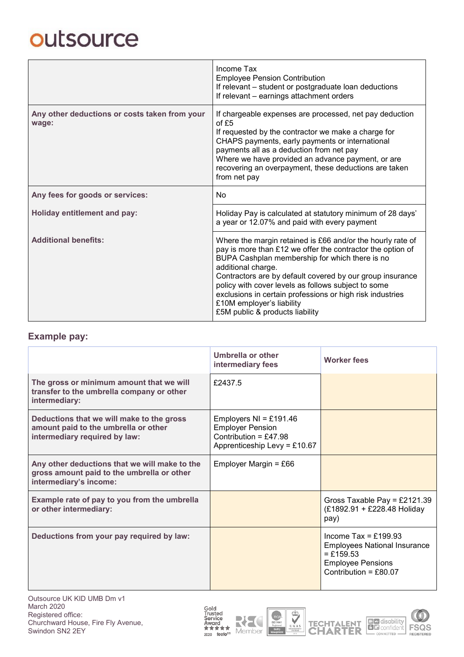|                                                        | Income Tax<br><b>Employee Pension Contribution</b><br>If relevant - student or postgraduate loan deductions<br>If relevant - earnings attachment orders                                                                                                                                                                                                                                                                                           |  |  |
|--------------------------------------------------------|---------------------------------------------------------------------------------------------------------------------------------------------------------------------------------------------------------------------------------------------------------------------------------------------------------------------------------------------------------------------------------------------------------------------------------------------------|--|--|
| Any other deductions or costs taken from your<br>wage: | If chargeable expenses are processed, net pay deduction<br>of £5<br>If requested by the contractor we make a charge for<br>CHAPS payments, early payments or international<br>payments all as a deduction from net pay<br>Where we have provided an advance payment, or are<br>recovering an overpayment, these deductions are taken<br>from net pay                                                                                              |  |  |
| Any fees for goods or services:                        | No                                                                                                                                                                                                                                                                                                                                                                                                                                                |  |  |
| <b>Holiday entitlement and pay:</b>                    | Holiday Pay is calculated at statutory minimum of 28 days'<br>a year or 12.07% and paid with every payment                                                                                                                                                                                                                                                                                                                                        |  |  |
| <b>Additional benefits:</b>                            | Where the margin retained is £66 and/or the hourly rate of<br>pay is more than £12 we offer the contractor the option of<br>BUPA Cashplan membership for which there is no<br>additional charge.<br>Contractors are by default covered by our group insurance<br>policy with cover levels as follows subject to some<br>exclusions in certain professions or high risk industries<br>£10M employer's liability<br>£5M public & products liability |  |  |

#### **Example pay:**

|                                                                                                                       | Umbrella or other<br>intermediary fees                                                                       | <b>Worker fees</b>                                                                                                                |
|-----------------------------------------------------------------------------------------------------------------------|--------------------------------------------------------------------------------------------------------------|-----------------------------------------------------------------------------------------------------------------------------------|
| The gross or minimum amount that we will<br>transfer to the umbrella company or other<br>intermediary:                | £2437.5                                                                                                      |                                                                                                                                   |
| Deductions that we will make to the gross<br>amount paid to the umbrella or other<br>intermediary required by law:    | Employers $NI = £191.46$<br><b>Employer Pension</b><br>Contribution = £47.98<br>Apprenticeship Levy = £10.67 |                                                                                                                                   |
| Any other deductions that we will make to the<br>gross amount paid to the umbrella or other<br>intermediary's income: | Employer Margin = $£66$                                                                                      |                                                                                                                                   |
| Example rate of pay to you from the umbrella<br>or other intermediary:                                                |                                                                                                              | Gross Taxable Pay = £2121.39<br>(£1892.91 + £228.48 Holiday<br>pay)                                                               |
| Deductions from your pay required by law:                                                                             |                                                                                                              | Income Tax = £199.93<br><b>Employees National Insurance</b><br>$=$ £159.53<br><b>Employee Pensions</b><br>Contribution = $£80.07$ |







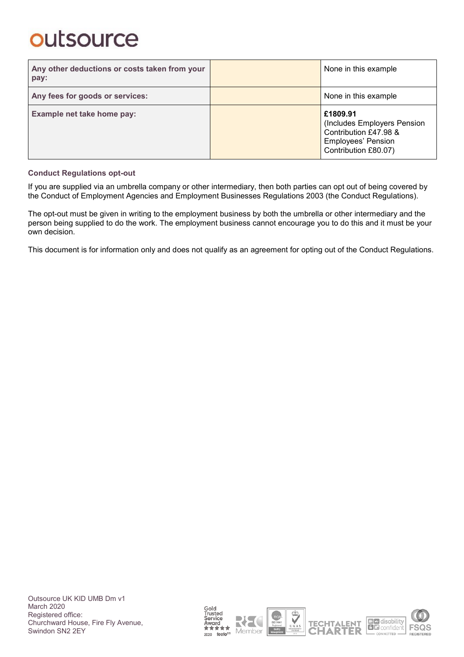| Any other deductions or costs taken from your<br>pay: | None in this example                                                                                                  |
|-------------------------------------------------------|-----------------------------------------------------------------------------------------------------------------------|
| Any fees for goods or services:                       | None in this example                                                                                                  |
| Example net take home pay:                            | £1809.91<br>(Includes Employers Pension<br>Contribution £47.98 &<br><b>Employees' Pension</b><br>Contribution £80.07) |

#### **Conduct Regulations opt-out**

If you are supplied via an umbrella company or other intermediary, then both parties can opt out of being covered by the Conduct of Employment Agencies and Employment Businesses Regulations 2003 (the Conduct Regulations).

The opt-out must be given in writing to the employment business by both the umbrella or other intermediary and the person being supplied to do the work. The employment business cannot encourage you to do this and it must be your own decision.

This document is for information only and does not qualify as an agreement for opting out of the Conduct Regulations.